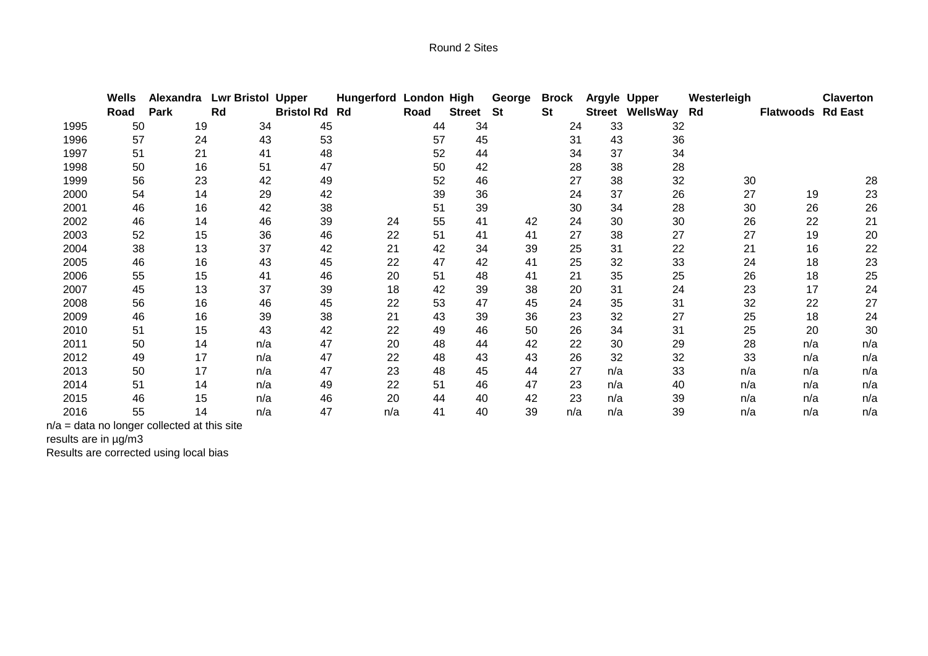|      | Wells | Alexandra | <b>Lwr Bristol</b> | <b>Upper</b>         | <b>Hungerford London High</b> |      |               | George    | <b>Brock</b> | Argyle Upper |                        | Westerleigh |                          | <b>Claverton</b> |
|------|-------|-----------|--------------------|----------------------|-------------------------------|------|---------------|-----------|--------------|--------------|------------------------|-------------|--------------------------|------------------|
|      | Road  | Park      | Rd                 | <b>Bristol Rd Rd</b> |                               | Road | <b>Street</b> | <b>St</b> | <b>St</b>    |              | <b>Street WellsWay</b> | Rd          | <b>Flatwoods Rd East</b> |                  |
| 1995 | 50    | 19        | 34                 | 45                   |                               | 44   | 34            |           | 24           | 33           | 32                     |             |                          |                  |
| 1996 | 57    | 24        | 43                 | 53                   |                               | 57   | 45            |           | 31           | 43           | 36                     |             |                          |                  |
| 1997 | 51    | 21        | 41                 | 48                   |                               | 52   | 44            |           | 34           | 37           | 34                     |             |                          |                  |
| 1998 | 50    | 16        | 51                 | 47                   |                               | 50   | 42            |           | 28           | 38           | 28                     |             |                          |                  |
| 1999 | 56    | 23        | 42                 | 49                   |                               | 52   | 46            |           | 27           | 38           | 32                     | 30          |                          | 28               |
| 2000 | 54    | 14        | 29                 | 42                   |                               | 39   | 36            |           | 24           | 37           | 26                     | 27          | 19                       | 23               |
| 2001 | 46    | 16        | 42                 | 38                   |                               | 51   | 39            |           | 30           | 34           | 28                     | 30          | 26                       | 26               |
| 2002 | 46    | 14        | 46                 | 39                   | 24                            | 55   | 41            | 42        | 24           | 30           | 30                     | 26          | 22                       | 21               |
| 2003 | 52    | 15        | 36                 | 46                   | 22                            | 51   | 41            | 41        | 27           | 38           | 27                     | 27          | 19                       | 20               |
| 2004 | 38    | 13        | 37                 | 42                   | 21                            | 42   | 34            | 39        | 25           | 31           | 22                     | 21          | 16                       | 22               |
| 2005 | 46    | 16        | 43                 | 45                   | 22                            | 47   | 42            | 41        | 25           | 32           | 33                     | 24          | 18                       | 23               |
| 2006 | 55    | 15        | 41                 | 46                   | 20                            | 51   | 48            | 41        | 21           | 35           | 25                     | 26          | 18                       | 25               |
| 2007 | 45    | 13        | 37                 | 39                   | 18                            | 42   | 39            | 38        | 20           | 31           | 24                     | 23          | 17                       | 24               |
| 2008 | 56    | 16        | 46                 | 45                   | 22                            | 53   | 47            | 45        | 24           | 35           | 31                     | 32          | 22                       | 27               |
| 2009 | 46    | 16        | 39                 | 38                   | 21                            | 43   | 39            | 36        | 23           | 32           | 27                     | 25          | 18                       | 24               |
| 2010 | 51    | 15        | 43                 | 42                   | 22                            | 49   | 46            | 50        | 26           | 34           | 31                     | 25          | 20                       | 30               |
| 2011 | 50    | 14        | n/a                | 47                   | 20                            | 48   | 44            | 42        | 22           | 30           | 29                     | 28          | n/a                      | n/a              |
| 2012 | 49    | 17        | n/a                | 47                   | 22                            | 48   | 43            | 43        | 26           | 32           | 32                     | 33          | n/a                      | n/a              |
| 2013 | 50    | 17        | n/a                | 47                   | 23                            | 48   | 45            | 44        | 27           | n/a          | 33                     | n/a         | n/a                      | n/a              |
| 2014 | 51    | 14        | n/a                | 49                   | 22                            | 51   | 46            | 47        | 23           | n/a          | 40                     | n/a         | n/a                      | n/a              |
| 2015 | 46    | 15        | n/a                | 46                   | 20                            | 44   | 40            | 42        | 23           | n/a          | 39                     | n/a         | n/a                      | n/a              |
| 2016 | 55    | 14        | n/a                | 47                   | n/a                           | 41   | 40            | 39        | n/a          | n/a          | 39                     | n/a         | n/a                      | n/a              |

n/a = data no longer collected at this site

results are in µg/m3

Results are corrected using local bias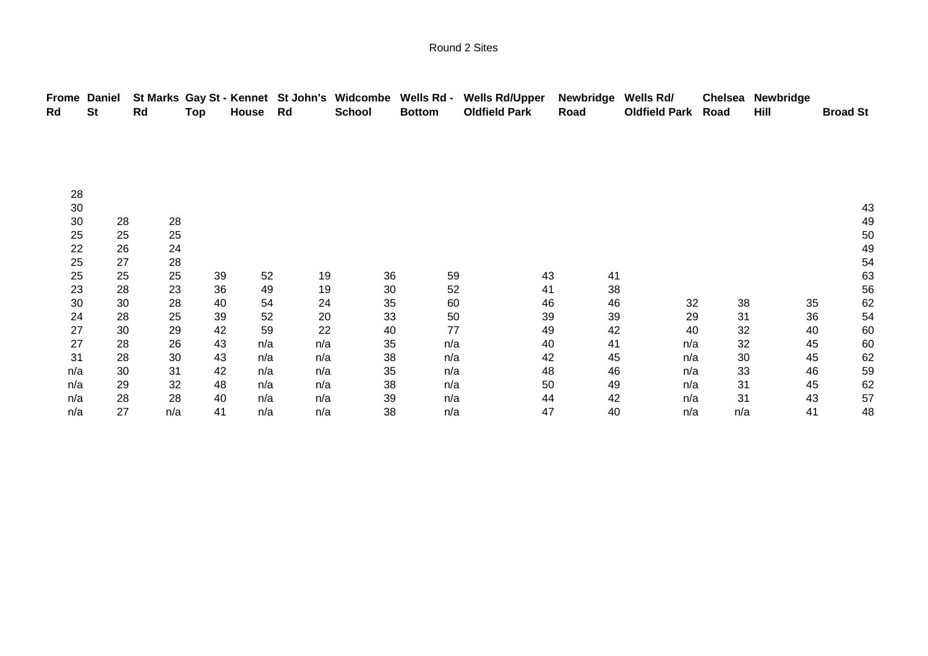| <b>Frome Daniel</b><br><b>St</b><br>Rd |    | Rd  | Top | House | Rd  | St Marks Gay St - Kennet St John's Widcombe Wells Rd -<br><b>School</b> | <b>Bottom</b> | <b>Wells Rd/Upper</b><br><b>Oldfield Park</b> | <b>Newbridge</b><br>Road | Wells Rd/<br><b>Oldfield Park</b> | <b>Chelsea</b><br>Road | Newbridge<br>Hill | <b>Broad St</b> |
|----------------------------------------|----|-----|-----|-------|-----|-------------------------------------------------------------------------|---------------|-----------------------------------------------|--------------------------|-----------------------------------|------------------------|-------------------|-----------------|
|                                        |    |     |     |       |     |                                                                         |               |                                               |                          |                                   |                        |                   |                 |
|                                        |    |     |     |       |     |                                                                         |               |                                               |                          |                                   |                        |                   |                 |
|                                        |    |     |     |       |     |                                                                         |               |                                               |                          |                                   |                        |                   |                 |
| 28                                     |    |     |     |       |     |                                                                         |               |                                               |                          |                                   |                        |                   |                 |
| 30                                     |    |     |     |       |     |                                                                         |               |                                               |                          |                                   |                        |                   | 43              |
| 30                                     | 28 | 28  |     |       |     |                                                                         |               |                                               |                          |                                   |                        |                   | 49              |
| 25                                     | 25 | 25  |     |       |     |                                                                         |               |                                               |                          |                                   |                        |                   | 50              |
| 22                                     | 26 | 24  |     |       |     |                                                                         |               |                                               |                          |                                   |                        |                   | 49              |
| 25                                     | 27 | 28  |     |       |     |                                                                         |               |                                               |                          |                                   |                        |                   | 54              |
| 25                                     | 25 | 25  | 39  | 52    | 19  | 36                                                                      | 59            | 43                                            | 41                       |                                   |                        |                   | 63              |
| 23                                     | 28 | 23  | 36  | 49    | 19  | 30                                                                      | 52            | 41                                            | 38                       |                                   |                        |                   | 56              |
| 30                                     | 30 | 28  | 40  | 54    | 24  | 35                                                                      | 60            | 46                                            | 46                       | 32                                | 38                     | 35                | 62              |
| 24                                     | 28 | 25  | 39  | 52    | 20  | 33                                                                      | 50            | 39                                            | 39                       | 29                                | 31                     | 36                | 54              |
| 27                                     | 30 | 29  | 42  | 59    | 22  | 40                                                                      | 77            | 49                                            | 42                       | 40                                | 32                     | 40                | 60              |
| 27                                     | 28 | 26  | 43  | n/a   | n/a | 35                                                                      | n/a           | 40                                            | 41                       | n/a                               | 32                     | 45                | 60              |
| 31                                     | 28 | 30  | 43  | n/a   | n/a | 38                                                                      | n/a           | 42                                            | 45                       | n/a                               | 30                     | 45                | 62              |
| n/a                                    | 30 | 31  | 42  | n/a   | n/a | 35                                                                      | n/a           | 48                                            | 46                       | n/a                               | 33                     | 46                | 59              |
| n/a                                    | 29 | 32  | 48  | n/a   | n/a | 38                                                                      | n/a           | 50                                            | 49                       | n/a                               | 31                     | 45                | 62              |
|                                        |    |     |     |       |     |                                                                         |               |                                               |                          |                                   |                        |                   |                 |
| n/a                                    | 28 | 28  | 40  | n/a   | n/a | 39                                                                      | n/a           | 44                                            | 42                       | n/a                               | 31                     | 43                | 57              |
| n/a                                    | 27 | n/a | 41  | n/a   | n/a | 38                                                                      | n/a           | 47                                            | 40                       | n/a                               | n/a                    | 41                | 48              |